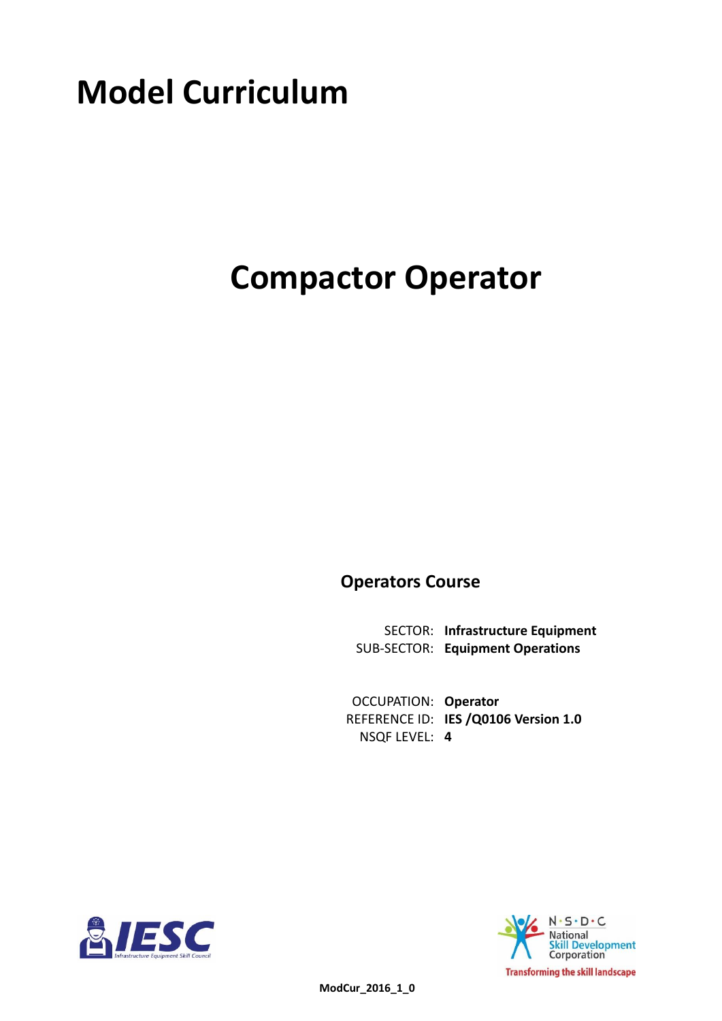# **Model Curriculum**

# **Compactor Operator**

**Operators Course**

**Infrastructure Equipment** SECTOR: **Equipment Operations** SUB-SECTOR:

**OCCUPATION: Operator** REFERENCE ID: IES / Q0106 Version 1.0 **4** NSQF LEVEL:



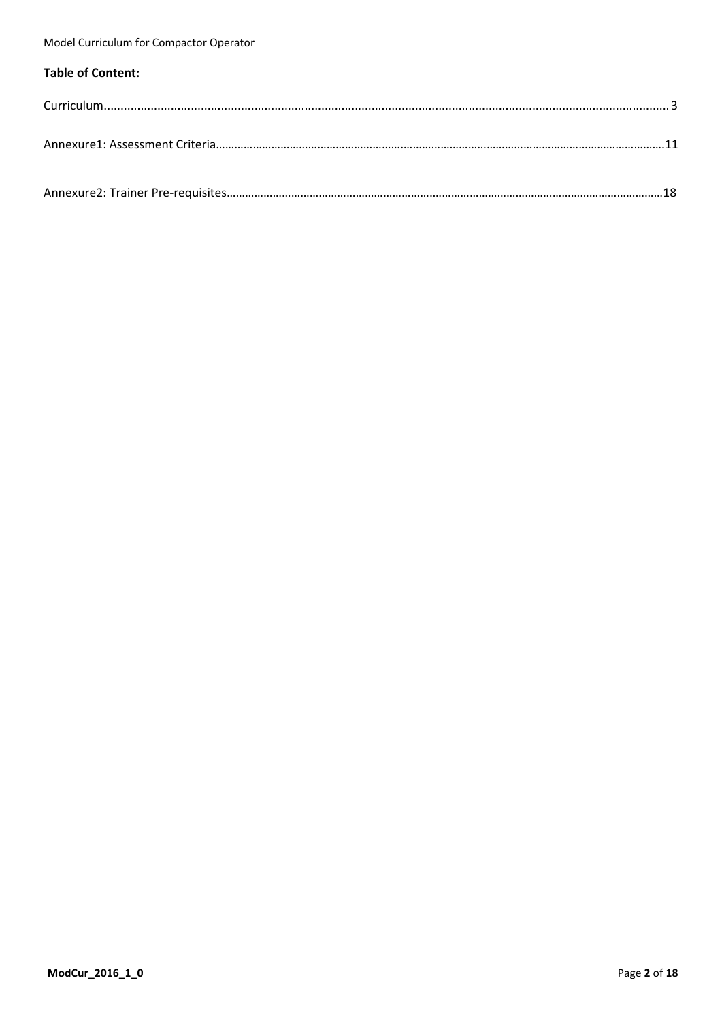### **Table of Content:**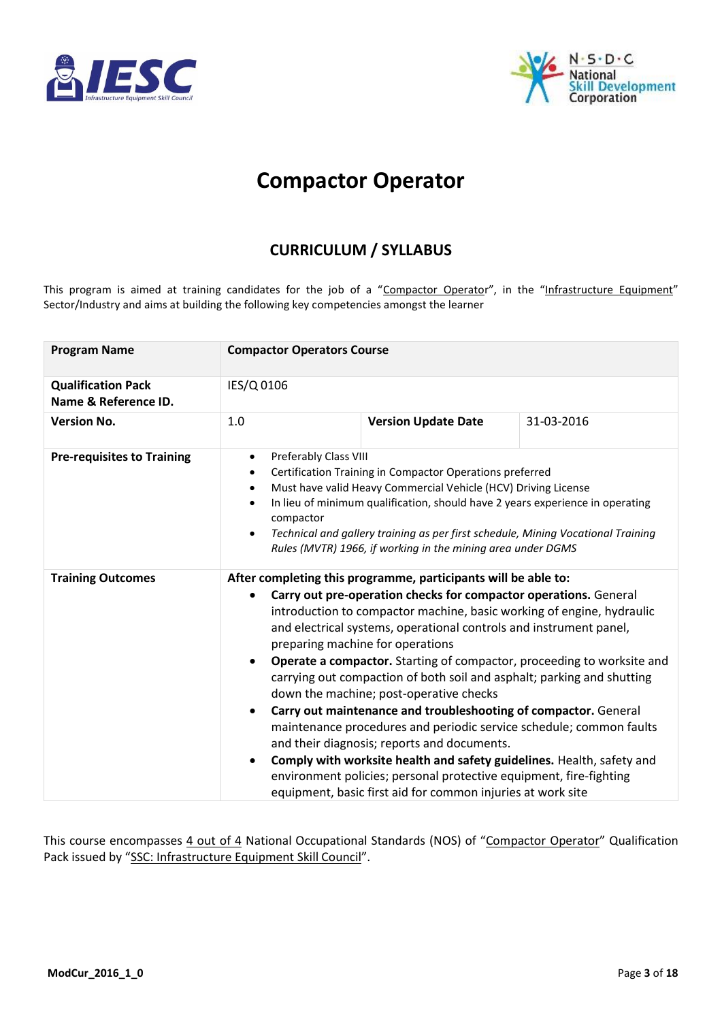<span id="page-2-0"></span>



# **Compactor Operator**

# **CURRICULUM / SYLLABUS**

This program is aimed at training candidates for the job of a "Compactor Operator", in the "Infrastructure Equipment" Sector/Industry and aims at building the following key competencies amongst the learner

| <b>Program Name</b>                               | <b>Compactor Operators Course</b>                |                                                                                                                                                                                                                                                                                                                                                                                                                                                                                                                                                                                                                                                                                                                                                                                                                                                                                                                                    |  |  |  |  |
|---------------------------------------------------|--------------------------------------------------|------------------------------------------------------------------------------------------------------------------------------------------------------------------------------------------------------------------------------------------------------------------------------------------------------------------------------------------------------------------------------------------------------------------------------------------------------------------------------------------------------------------------------------------------------------------------------------------------------------------------------------------------------------------------------------------------------------------------------------------------------------------------------------------------------------------------------------------------------------------------------------------------------------------------------------|--|--|--|--|
| <b>Qualification Pack</b><br>Name & Reference ID. | IES/Q 0106                                       |                                                                                                                                                                                                                                                                                                                                                                                                                                                                                                                                                                                                                                                                                                                                                                                                                                                                                                                                    |  |  |  |  |
| <b>Version No.</b>                                | 1.0                                              | <b>Version Update Date</b><br>31-03-2016                                                                                                                                                                                                                                                                                                                                                                                                                                                                                                                                                                                                                                                                                                                                                                                                                                                                                           |  |  |  |  |
| <b>Pre-requisites to Training</b>                 | $\bullet$<br>$\bullet$<br>compactor<br>$\bullet$ | Preferably Class VIII<br>Certification Training in Compactor Operations preferred<br>Must have valid Heavy Commercial Vehicle (HCV) Driving License<br>In lieu of minimum qualification, should have 2 years experience in operating<br>Technical and gallery training as per first schedule, Mining Vocational Training<br>Rules (MVTR) 1966, if working in the mining area under DGMS                                                                                                                                                                                                                                                                                                                                                                                                                                                                                                                                            |  |  |  |  |
| <b>Training Outcomes</b>                          | $\bullet$<br>$\bullet$<br>$\bullet$<br>$\bullet$ | After completing this programme, participants will be able to:<br>Carry out pre-operation checks for compactor operations. General<br>introduction to compactor machine, basic working of engine, hydraulic<br>and electrical systems, operational controls and instrument panel,<br>preparing machine for operations<br><b>Operate a compactor.</b> Starting of compactor, proceeding to worksite and<br>carrying out compaction of both soil and asphalt; parking and shutting<br>down the machine; post-operative checks<br>Carry out maintenance and troubleshooting of compactor. General<br>maintenance procedures and periodic service schedule; common faults<br>and their diagnosis; reports and documents.<br>Comply with worksite health and safety guidelines. Health, safety and<br>environment policies; personal protective equipment, fire-fighting<br>equipment, basic first aid for common injuries at work site |  |  |  |  |

This course encompasses 4 out of 4 National Occupational Standards (NOS) of "Compactor Operator" Qualification Pack issued by "SSC: Infrastructure Equipment Skill Council".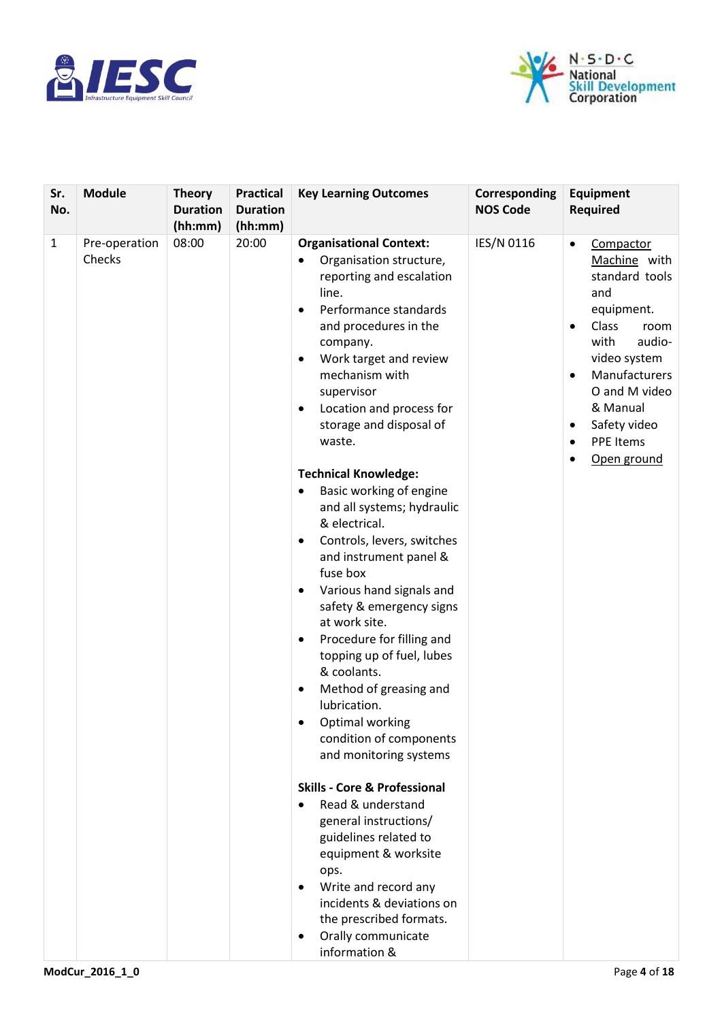



| Sr.<br>No.   | <b>Module</b>           | <b>Theory</b><br><b>Duration</b><br>(hh:mm) | <b>Practical</b><br><b>Duration</b><br>(hh:mm) | <b>Key Learning Outcomes</b>                                                                                                                                                                                                                                                                                                                                                                                                                                                                                                                                                                                                                                                                                                                                                                                                                                                                                                                                                                                                                                                                                                             | Corresponding<br><b>NOS Code</b> | <b>Equipment</b><br><b>Required</b>                                                                                                                                                                                                                                      |
|--------------|-------------------------|---------------------------------------------|------------------------------------------------|------------------------------------------------------------------------------------------------------------------------------------------------------------------------------------------------------------------------------------------------------------------------------------------------------------------------------------------------------------------------------------------------------------------------------------------------------------------------------------------------------------------------------------------------------------------------------------------------------------------------------------------------------------------------------------------------------------------------------------------------------------------------------------------------------------------------------------------------------------------------------------------------------------------------------------------------------------------------------------------------------------------------------------------------------------------------------------------------------------------------------------------|----------------------------------|--------------------------------------------------------------------------------------------------------------------------------------------------------------------------------------------------------------------------------------------------------------------------|
| $\mathbf{1}$ | Pre-operation<br>Checks | 08:00                                       | 20:00                                          | <b>Organisational Context:</b><br>Organisation structure,<br>reporting and escalation<br>line.<br>Performance standards<br>$\bullet$<br>and procedures in the<br>company.<br>Work target and review<br>$\bullet$<br>mechanism with<br>supervisor<br>Location and process for<br>$\bullet$<br>storage and disposal of<br>waste.<br><b>Technical Knowledge:</b><br>Basic working of engine<br>$\bullet$<br>and all systems; hydraulic<br>& electrical.<br>Controls, levers, switches<br>$\bullet$<br>and instrument panel &<br>fuse box<br>Various hand signals and<br>٠<br>safety & emergency signs<br>at work site.<br>Procedure for filling and<br>$\bullet$<br>topping up of fuel, lubes<br>& coolants.<br>Method of greasing and<br>٠<br>lubrication.<br>Optimal working<br>condition of components<br>and monitoring systems<br><b>Skills - Core &amp; Professional</b><br>Read & understand<br>$\bullet$<br>general instructions/<br>guidelines related to<br>equipment & worksite<br>ops.<br>Write and record any<br>٠<br>incidents & deviations on<br>the prescribed formats.<br>Orally communicate<br>$\bullet$<br>information & | IES/N 0116                       | Compactor<br>$\bullet$<br>Machine with<br>standard tools<br>and<br>equipment.<br>Class<br>room<br>with<br>audio-<br>video system<br>Manufacturers<br>$\bullet$<br>O and M video<br>& Manual<br>Safety video<br>$\bullet$<br><b>PPE Items</b><br>$\bullet$<br>Open ground |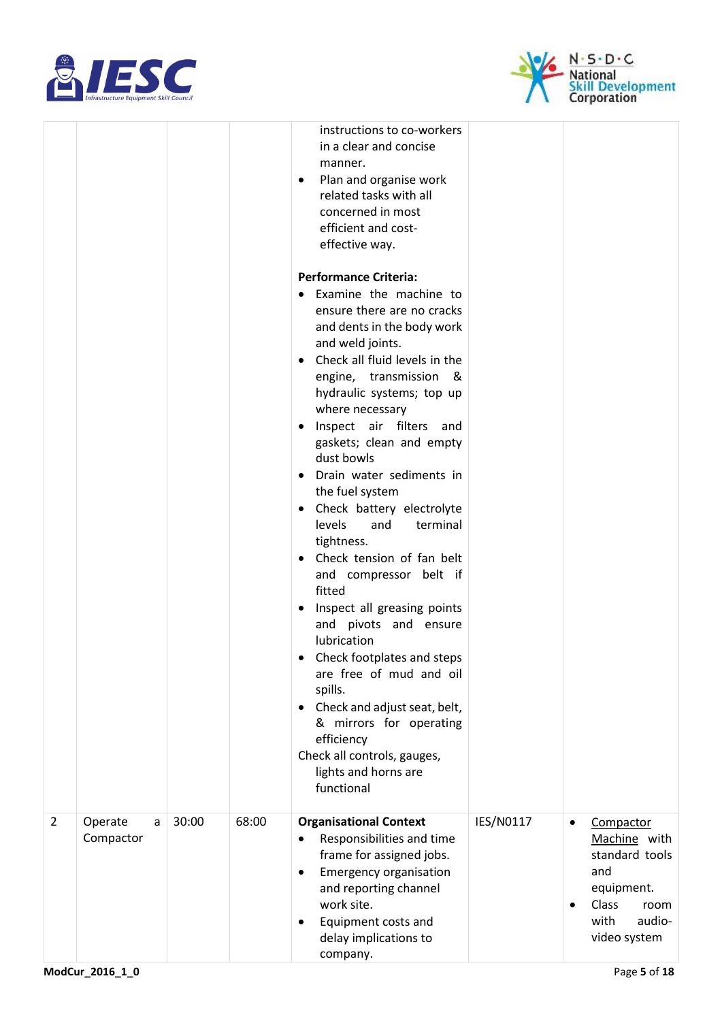



|                |                           |       |       | instructions to co-workers<br>in a clear and concise<br>manner.<br>Plan and organise work<br>$\bullet$<br>related tasks with all<br>concerned in most<br>efficient and cost-<br>effective way.<br><b>Performance Criteria:</b>                       |           |           |                                                                                                                     |
|----------------|---------------------------|-------|-------|------------------------------------------------------------------------------------------------------------------------------------------------------------------------------------------------------------------------------------------------------|-----------|-----------|---------------------------------------------------------------------------------------------------------------------|
|                |                           |       |       | Examine the machine to<br>ensure there are no cracks<br>and dents in the body work<br>and weld joints.<br>Check all fluid levels in the<br>engine, transmission &<br>hydraulic systems; top up<br>where necessary<br>Inspect air filters and         |           |           |                                                                                                                     |
|                |                           |       |       | gaskets; clean and empty<br>dust bowls<br>Drain water sediments in<br>the fuel system<br>Check battery electrolyte<br>$\bullet$<br>levels<br>and<br>terminal<br>tightness.<br>Check tension of fan belt<br>$\bullet$                                 |           |           |                                                                                                                     |
|                |                           |       |       | and compressor belt if<br>fitted<br>Inspect all greasing points<br>and pivots and ensure<br>lubrication<br>Check footplates and steps<br>٠<br>are free of mud and oil<br>spills.<br>• Check and adjust seat, belt,                                   |           |           |                                                                                                                     |
|                |                           |       |       | & mirrors for operating<br>efficiency<br>Check all controls, gauges,<br>lights and horns are<br>functional                                                                                                                                           |           |           |                                                                                                                     |
| $\overline{2}$ | Operate<br>a<br>Compactor | 30:00 | 68:00 | <b>Organisational Context</b><br>Responsibilities and time<br>frame for assigned jobs.<br><b>Emergency organisation</b><br>$\bullet$<br>and reporting channel<br>work site.<br>Equipment costs and<br>$\bullet$<br>delay implications to<br>company. | IES/N0117 | $\bullet$ | Compactor<br>Machine with<br>standard tools<br>and<br>equipment.<br>Class<br>room<br>with<br>audio-<br>video system |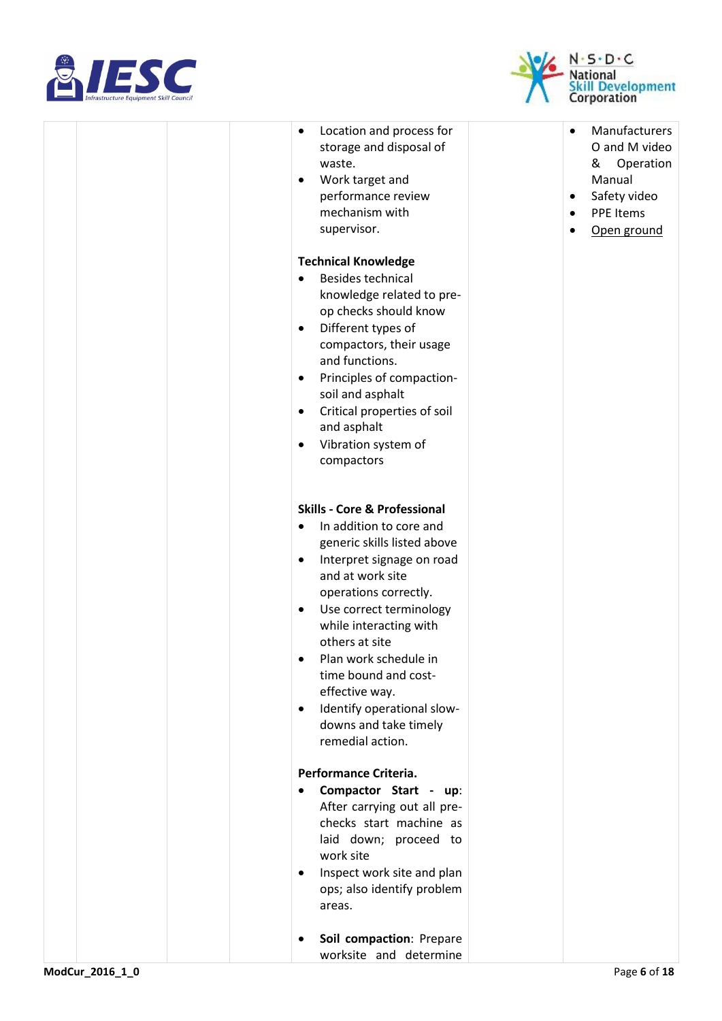



|  | Location and process for<br>$\bullet$<br>storage and disposal of<br>waste.<br>Work target and<br>٠<br>performance review<br>mechanism with<br>supervisor.                                                                                                                                                                                                                                                                    | Manufacturers<br>$\bullet$<br>O and M video<br>&<br>Operation<br>Manual<br>Safety video<br>$\bullet$<br>PPE Items<br>$\bullet$<br>Open ground |
|--|------------------------------------------------------------------------------------------------------------------------------------------------------------------------------------------------------------------------------------------------------------------------------------------------------------------------------------------------------------------------------------------------------------------------------|-----------------------------------------------------------------------------------------------------------------------------------------------|
|  | <b>Technical Knowledge</b>                                                                                                                                                                                                                                                                                                                                                                                                   |                                                                                                                                               |
|  | <b>Besides technical</b><br>knowledge related to pre-<br>op checks should know<br>Different types of<br>٠<br>compactors, their usage<br>and functions.<br>Principles of compaction-<br>٠<br>soil and asphalt<br>Critical properties of soil<br>٠<br>and asphalt<br>Vibration system of<br>٠<br>compactors                                                                                                                    |                                                                                                                                               |
|  |                                                                                                                                                                                                                                                                                                                                                                                                                              |                                                                                                                                               |
|  | <b>Skills - Core &amp; Professional</b><br>In addition to core and<br>$\bullet$<br>generic skills listed above<br>Interpret signage on road<br>٠<br>and at work site<br>operations correctly.<br>Use correct terminology<br>٠<br>while interacting with<br>others at site<br>Plan work schedule in<br>time bound and cost-<br>effective way.<br>Identify operational slow-<br>٠<br>downs and take timely<br>remedial action. |                                                                                                                                               |
|  | Performance Criteria.                                                                                                                                                                                                                                                                                                                                                                                                        |                                                                                                                                               |
|  | Compactor Start - up:<br>$\bullet$<br>After carrying out all pre-<br>checks start machine as<br>laid down; proceed to<br>work site<br>Inspect work site and plan<br>٠<br>ops; also identify problem<br>areas.                                                                                                                                                                                                                |                                                                                                                                               |
|  | Soil compaction: Prepare<br>٠                                                                                                                                                                                                                                                                                                                                                                                                |                                                                                                                                               |
|  | worksite and determine                                                                                                                                                                                                                                                                                                                                                                                                       |                                                                                                                                               |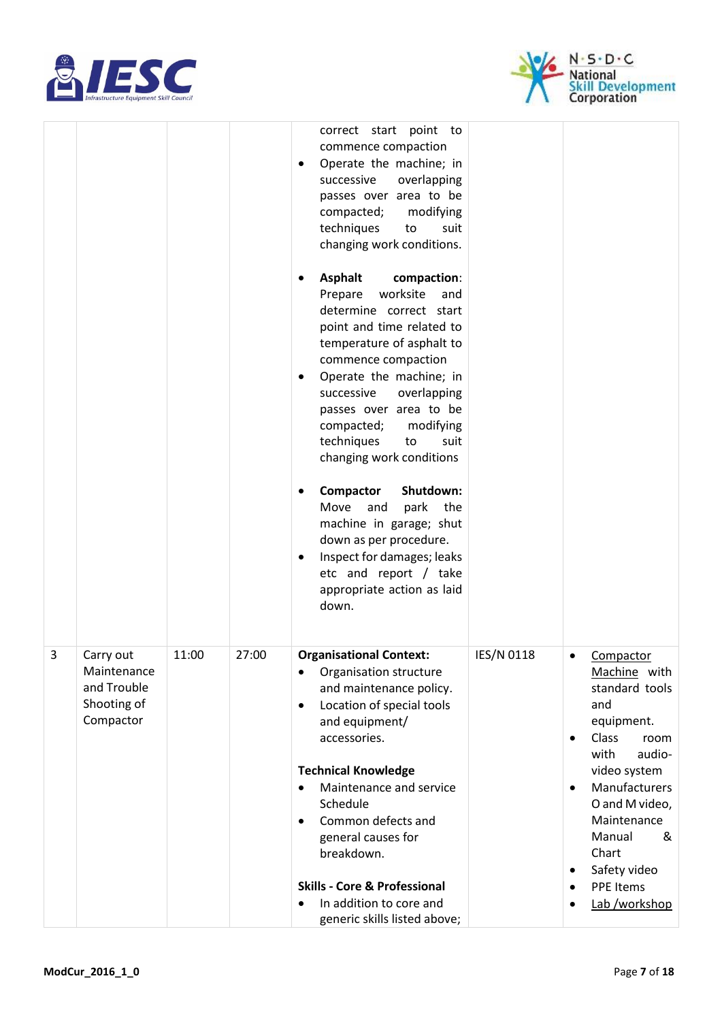



|   |                                                                     |       |       | correct start point to<br>commence compaction<br>Operate the machine; in<br>successive<br>overlapping<br>passes over area to be<br>compacted;<br>modifying<br>techniques<br>suit<br>to<br>changing work conditions.<br><b>Asphalt</b><br>compaction:<br>Prepare<br>worksite<br>and<br>determine correct start<br>point and time related to<br>temperature of asphalt to<br>commence compaction<br>Operate the machine; in<br>$\bullet$<br>successive<br>overlapping<br>passes over area to be<br>compacted;<br>modifying<br>techniques<br>to<br>suit<br>changing work conditions<br>Shutdown:<br>Compactor<br>Move<br>and<br>park<br>the<br>machine in garage; shut<br>down as per procedure.<br>Inspect for damages; leaks<br>$\bullet$<br>etc and report / take<br>appropriate action as laid<br>down. |            |                                                               |                                                                                                                                                                                                                                                    |
|---|---------------------------------------------------------------------|-------|-------|----------------------------------------------------------------------------------------------------------------------------------------------------------------------------------------------------------------------------------------------------------------------------------------------------------------------------------------------------------------------------------------------------------------------------------------------------------------------------------------------------------------------------------------------------------------------------------------------------------------------------------------------------------------------------------------------------------------------------------------------------------------------------------------------------------|------------|---------------------------------------------------------------|----------------------------------------------------------------------------------------------------------------------------------------------------------------------------------------------------------------------------------------------------|
| 3 | Carry out<br>Maintenance<br>and Trouble<br>Shooting of<br>Compactor | 11:00 | 27:00 | <b>Organisational Context:</b><br>Organisation structure<br>and maintenance policy.<br>Location of special tools<br>$\bullet$<br>and equipment/<br>accessories.<br><b>Technical Knowledge</b><br>Maintenance and service<br>Schedule<br>Common defects and<br>$\bullet$<br>general causes for<br>breakdown.<br><b>Skills - Core &amp; Professional</b><br>In addition to core and<br>generic skills listed above;                                                                                                                                                                                                                                                                                                                                                                                        | IES/N 0118 | $\bullet$<br>$\bullet$<br>$\bullet$<br>$\bullet$<br>$\bullet$ | Compactor<br>Machine with<br>standard tools<br>and<br>equipment.<br>Class<br>room<br>audio-<br>with<br>video system<br>Manufacturers<br>O and M video,<br>Maintenance<br>Manual<br>&<br>Chart<br>Safety video<br><b>PPE Items</b><br>Lab /workshop |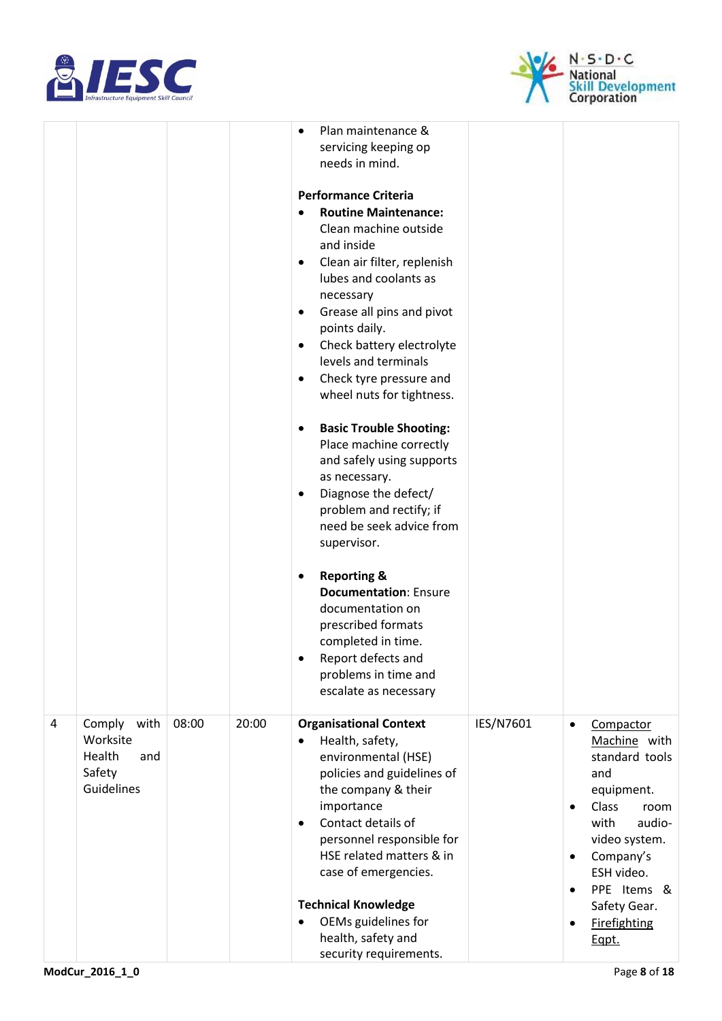



|   |                                                                     |       |       | Plan maintenance &<br>$\bullet$<br>servicing keeping op<br>needs in mind.<br><b>Performance Criteria</b><br><b>Routine Maintenance:</b><br>Clean machine outside<br>and inside<br>Clean air filter, replenish<br>$\bullet$<br>lubes and coolants as<br>necessary<br>Grease all pins and pivot<br>$\bullet$<br>points daily.<br>Check battery electrolyte<br>$\bullet$<br>levels and terminals<br>Check tyre pressure and<br>٠<br>wheel nuts for tightness.<br><b>Basic Trouble Shooting:</b><br>$\bullet$<br>Place machine correctly<br>and safely using supports<br>as necessary.<br>Diagnose the defect/<br>$\bullet$<br>problem and rectify; if<br>need be seek advice from<br>supervisor.<br><b>Reporting &amp;</b><br>٠<br><b>Documentation: Ensure</b><br>documentation on<br>prescribed formats<br>completed in time.<br>Report defects and<br>problems in time and<br>escalate as necessary |           |                                                                                                                                                                                                                                                              |
|---|---------------------------------------------------------------------|-------|-------|-----------------------------------------------------------------------------------------------------------------------------------------------------------------------------------------------------------------------------------------------------------------------------------------------------------------------------------------------------------------------------------------------------------------------------------------------------------------------------------------------------------------------------------------------------------------------------------------------------------------------------------------------------------------------------------------------------------------------------------------------------------------------------------------------------------------------------------------------------------------------------------------------------|-----------|--------------------------------------------------------------------------------------------------------------------------------------------------------------------------------------------------------------------------------------------------------------|
| 4 | Comply<br>with<br>Worksite<br>Health<br>and<br>Safety<br>Guidelines | 08:00 | 20:00 | <b>Organisational Context</b><br>Health, safety,<br>$\bullet$<br>environmental (HSE)<br>policies and guidelines of<br>the company & their<br>importance<br>Contact details of<br>$\bullet$<br>personnel responsible for<br>HSE related matters & in<br>case of emergencies.<br><b>Technical Knowledge</b><br>OEMs guidelines for<br>$\bullet$<br>health, safety and<br>security requirements.                                                                                                                                                                                                                                                                                                                                                                                                                                                                                                       | IES/N7601 | Compactor<br>$\bullet$<br>Machine with<br>standard tools<br>and<br>equipment.<br><b>Class</b><br>room<br>$\bullet$<br>with<br>audio-<br>video system.<br>Company's<br>$\bullet$<br>ESH video.<br>PPE Items &<br>Safety Gear.<br><b>Firefighting</b><br>Eqpt. |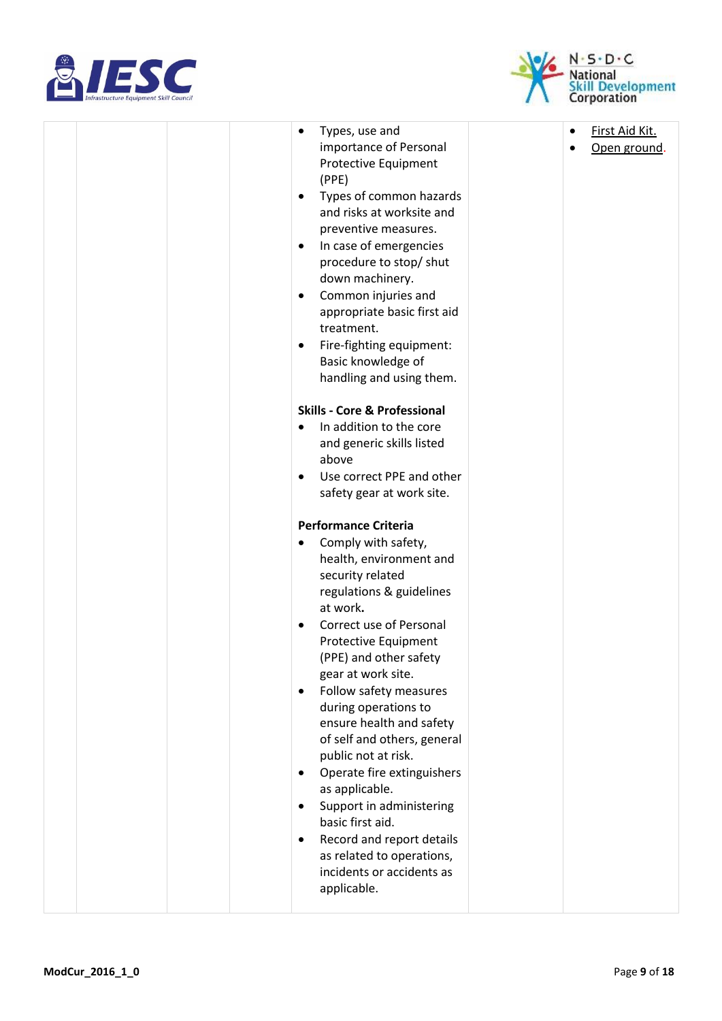



| Types, use and<br>importance of Personal<br>Protective Equipment<br>(PPE)<br>Types of common hazards<br>$\bullet$<br>and risks at worksite and<br>preventive measures.<br>In case of emergencies<br>$\bullet$<br>procedure to stop/ shut<br>down machinery.<br>Common injuries and<br>٠<br>appropriate basic first aid<br>treatment.<br>Fire-fighting equipment:<br>Basic knowledge of<br>handling and using them.<br><b>Skills - Core &amp; Professional</b><br>In addition to the core<br>and generic skills listed<br>above<br>Use correct PPE and other<br>safety gear at work site.                                      | First Aid Kit.<br>Open ground. |
|-------------------------------------------------------------------------------------------------------------------------------------------------------------------------------------------------------------------------------------------------------------------------------------------------------------------------------------------------------------------------------------------------------------------------------------------------------------------------------------------------------------------------------------------------------------------------------------------------------------------------------|--------------------------------|
| <b>Performance Criteria</b><br>Comply with safety,<br>health, environment and<br>security related<br>regulations & guidelines<br>at work.<br>Correct use of Personal<br>$\bullet$<br>Protective Equipment<br>(PPE) and other safety<br>gear at work site.<br>Follow safety measures<br>$\bullet$<br>during operations to<br>ensure health and safety<br>of self and others, general<br>public not at risk.<br>Operate fire extinguishers<br>as applicable.<br>Support in administering<br>$\bullet$<br>basic first aid.<br>Record and report details<br>as related to operations,<br>incidents or accidents as<br>applicable. |                                |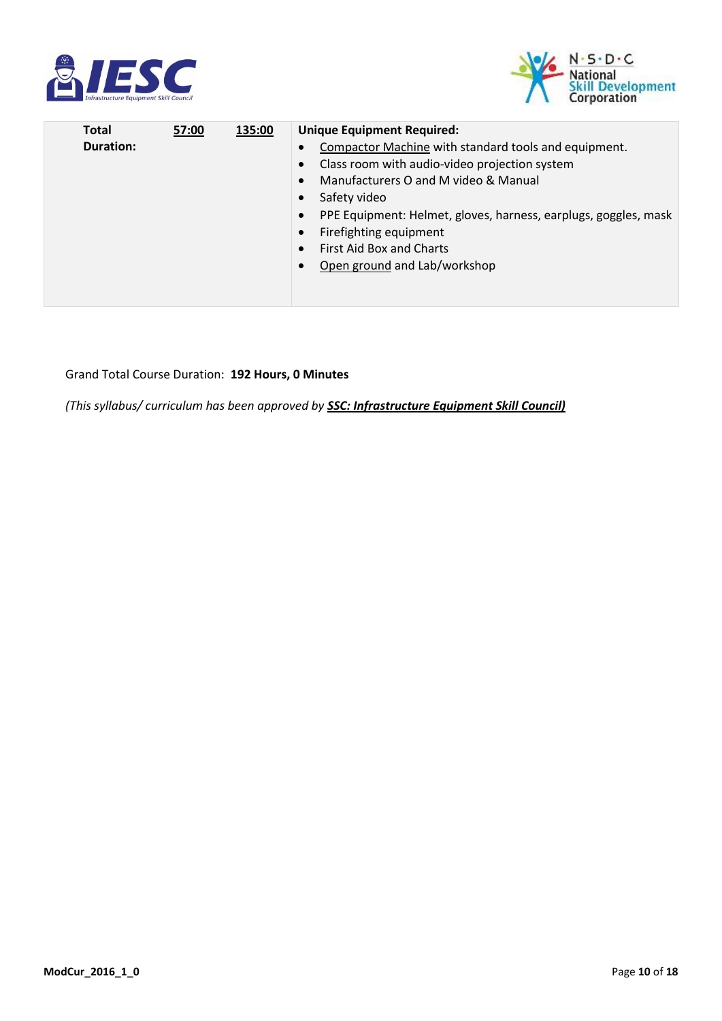



| Total<br>57:00<br>135:00<br><b>Duration:</b> | <b>Unique Equipment Required:</b><br>Compactor Machine with standard tools and equipment.<br>Class room with audio-video projection system<br>$\bullet$<br>Manufacturers O and M video & Manual<br>$\bullet$<br>Safety video<br>$\bullet$<br>PPE Equipment: Helmet, gloves, harness, earplugs, goggles, mask<br>$\bullet$<br>Firefighting equipment<br>$\bullet$<br><b>First Aid Box and Charts</b><br>Open ground and Lab/workshop |
|----------------------------------------------|-------------------------------------------------------------------------------------------------------------------------------------------------------------------------------------------------------------------------------------------------------------------------------------------------------------------------------------------------------------------------------------------------------------------------------------|
|----------------------------------------------|-------------------------------------------------------------------------------------------------------------------------------------------------------------------------------------------------------------------------------------------------------------------------------------------------------------------------------------------------------------------------------------------------------------------------------------|

#### Grand Total Course Duration: **192 Hours, 0 Minutes**

*(This syllabus/ curriculum has been approved by SSC: Infrastructure Equipment Skill Council)*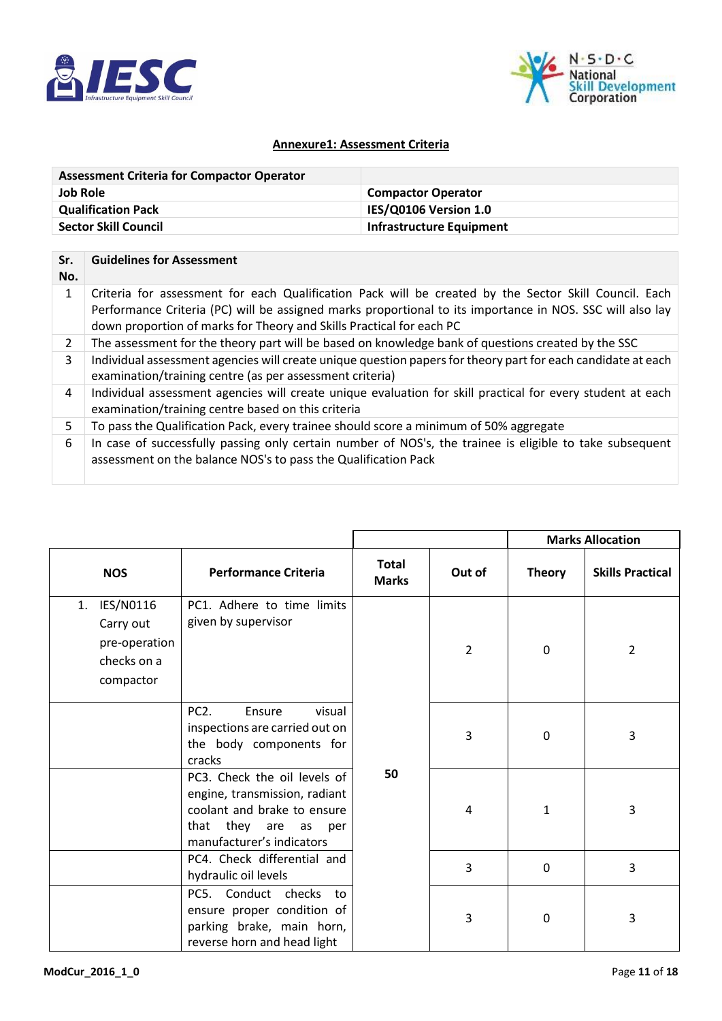



## **Annexure1: Assessment Criteria**

| <b>Assessment Criteria for Compactor Operator</b> |                           |
|---------------------------------------------------|---------------------------|
| <b>Job Role</b>                                   | <b>Compactor Operator</b> |
| <b>Qualification Pack</b>                         | IES/Q0106 Version 1.0     |
| <b>Sector Skill Council</b>                       | Infrastructure Equipment  |

| Sr.<br>No. | <b>Guidelines for Assessment</b>                                                                                                                                                                                                                                                           |
|------------|--------------------------------------------------------------------------------------------------------------------------------------------------------------------------------------------------------------------------------------------------------------------------------------------|
| 1          | Criteria for assessment for each Qualification Pack will be created by the Sector Skill Council. Each<br>Performance Criteria (PC) will be assigned marks proportional to its importance in NOS. SSC will also lay<br>down proportion of marks for Theory and Skills Practical for each PC |
| 2          | The assessment for the theory part will be based on knowledge bank of questions created by the SSC                                                                                                                                                                                         |
| 3          | Individual assessment agencies will create unique question papers for theory part for each candidate at each<br>examination/training centre (as per assessment criteria)                                                                                                                   |
| 4          | Individual assessment agencies will create unique evaluation for skill practical for every student at each<br>examination/training centre based on this criteria                                                                                                                           |
| 5          | To pass the Qualification Pack, every trainee should score a minimum of 50% aggregate                                                                                                                                                                                                      |
| 6          | In case of successfully passing only certain number of NOS's, the trainee is eligible to take subsequent<br>assessment on the balance NOS's to pass the Qualification Pack                                                                                                                 |

|                                                                           |                                                                                                                                                      |                              |                | <b>Marks Allocation</b> |                         |
|---------------------------------------------------------------------------|------------------------------------------------------------------------------------------------------------------------------------------------------|------------------------------|----------------|-------------------------|-------------------------|
| <b>NOS</b>                                                                | <b>Performance Criteria</b>                                                                                                                          | <b>Total</b><br><b>Marks</b> | Out of         | <b>Theory</b>           | <b>Skills Practical</b> |
| IES/N0116<br>1.<br>Carry out<br>pre-operation<br>checks on a<br>compactor | PC1. Adhere to time limits<br>given by supervisor                                                                                                    |                              | $\overline{2}$ | 0                       | $\overline{2}$          |
|                                                                           | PC <sub>2</sub> .<br>Ensure<br>visual<br>inspections are carried out on<br>the body components for<br>cracks                                         |                              | 3              | $\mathbf{0}$            | 3                       |
|                                                                           | PC3. Check the oil levels of<br>engine, transmission, radiant<br>coolant and brake to ensure<br>that they are<br>as per<br>manufacturer's indicators | 50                           | 4              | 1                       | 3                       |
|                                                                           | PC4. Check differential and<br>hydraulic oil levels                                                                                                  |                              | 3              | $\mathbf{0}$            | 3                       |
|                                                                           | PC5. Conduct checks<br>to<br>ensure proper condition of<br>parking brake, main horn,<br>reverse horn and head light                                  |                              | 3              | $\mathbf{0}$            | 3                       |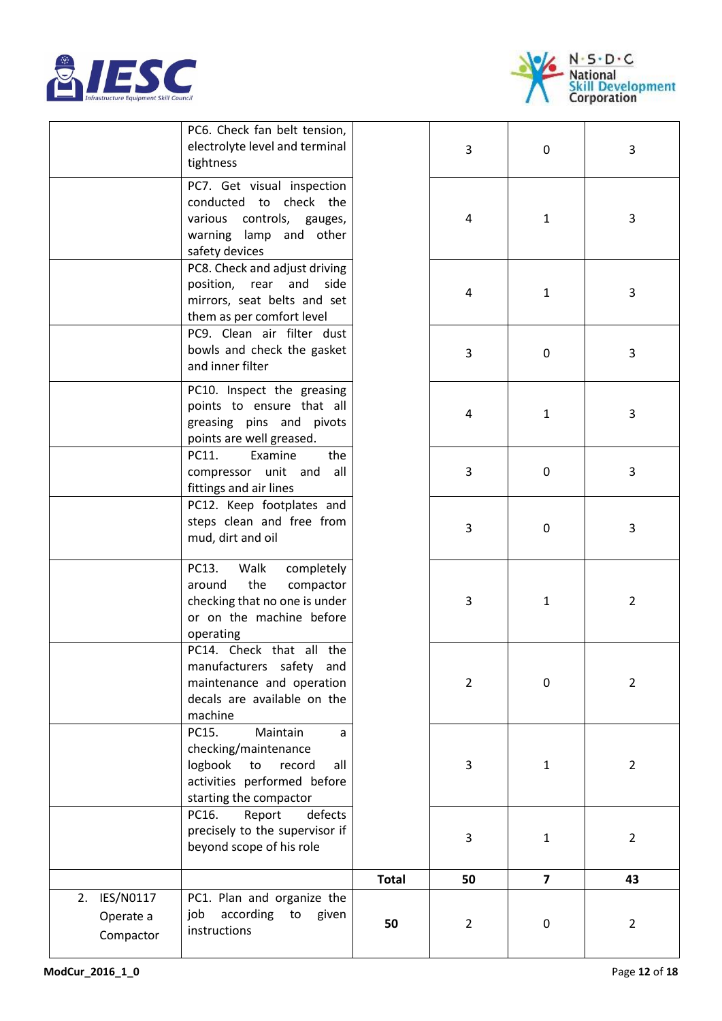



|                                        | PC6. Check fan belt tension,<br>electrolyte level and terminal<br>tightness                                                               |              | 3              | 0              | 3              |
|----------------------------------------|-------------------------------------------------------------------------------------------------------------------------------------------|--------------|----------------|----------------|----------------|
|                                        | PC7. Get visual inspection<br>conducted to check the<br>various<br>controls, gauges,<br>warning lamp and other<br>safety devices          |              | 4              | $\mathbf{1}$   | 3              |
|                                        | PC8. Check and adjust driving<br>position,<br>rear<br>and<br>side<br>mirrors, seat belts and set<br>them as per comfort level             |              | 4              | $\mathbf{1}$   | 3              |
|                                        | PC9. Clean air filter dust<br>bowls and check the gasket<br>and inner filter                                                              |              | 3              | 0              | 3              |
|                                        | PC10. Inspect the greasing<br>points to ensure that all<br>greasing pins and pivots<br>points are well greased.                           |              | 4              | 1              | 3              |
|                                        | PC11.<br>Examine<br>the<br>compressor unit and<br>all<br>fittings and air lines                                                           |              | 3              | 0              | 3              |
|                                        | PC12. Keep footplates and<br>steps clean and free from<br>mud, dirt and oil                                                               |              | 3              | 0              | 3              |
|                                        | PC13.<br>Walk<br>completely<br>the<br>around<br>compactor<br>checking that no one is under<br>or on the machine before<br>operating       |              | 3              | 1              | $\overline{2}$ |
|                                        | PC14. Check that all the<br>manufacturers safety and<br>maintenance and operation<br>decals are available on the<br>machine               |              | $\overline{2}$ | 0              | $\overline{2}$ |
|                                        | Maintain<br>PC15.<br>a<br>checking/maintenance<br>logbook<br>record<br>to<br>all<br>activities performed before<br>starting the compactor |              | 3              | $\mathbf{1}$   | $\overline{2}$ |
|                                        | PC16.<br>Report<br>defects<br>precisely to the supervisor if<br>beyond scope of his role                                                  |              | 3              | 1              | $\overline{2}$ |
|                                        |                                                                                                                                           | <b>Total</b> | 50             | $\overline{7}$ | 43             |
| 2. IES/N0117<br>Operate a<br>Compactor | PC1. Plan and organize the<br>according to<br>job<br>given<br>instructions                                                                | 50           | $\overline{2}$ | $\pmb{0}$      | $\overline{2}$ |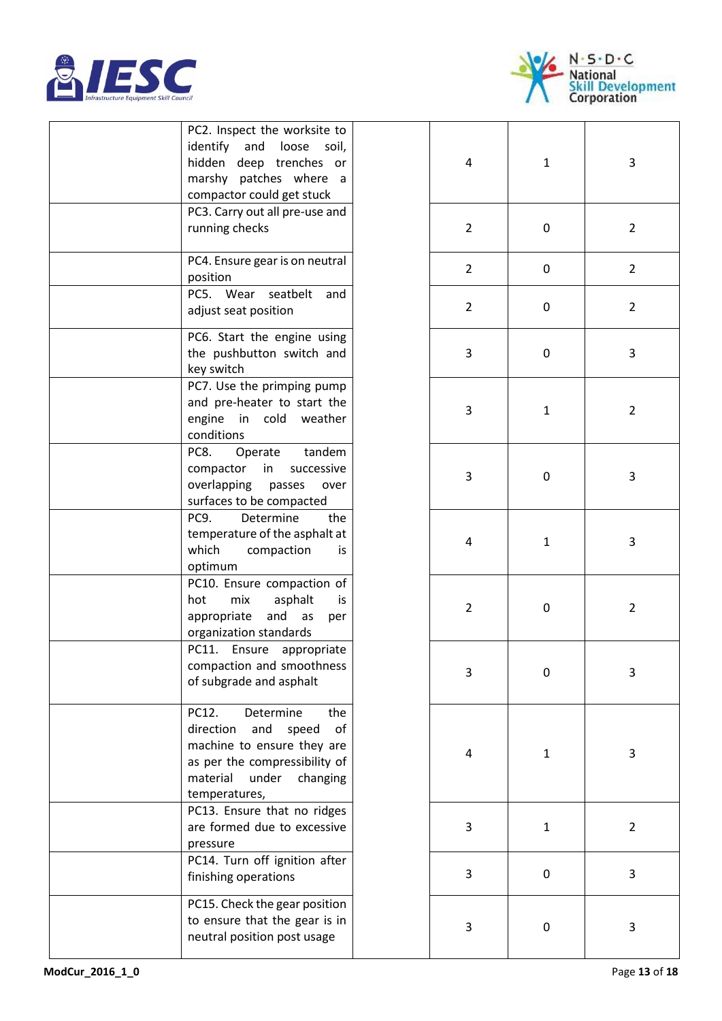



| PC2. Inspect the worksite to<br>identify<br>and<br>loose<br>soil,<br>hidden<br>deep trenches<br>or<br>marshy patches where<br>a -<br>compactor could get stuck<br>PC3. Carry out all pre-use and<br>running checks |
|--------------------------------------------------------------------------------------------------------------------------------------------------------------------------------------------------------------------|
| PC4. Ensure gear is on neutral<br>position<br>PC5. Wear<br>seatbelt<br>and                                                                                                                                         |
| adjust seat position                                                                                                                                                                                               |
| PC6. Start the engine using<br>the pushbutton switch and<br>key switch                                                                                                                                             |
| PC7. Use the primping pump<br>and pre-heater to start the<br>engine in<br>cold weather<br>conditions                                                                                                               |
| PC8.<br>Operate tandem<br>in<br>successive<br>compactor<br>overlapping passes<br>over<br>surfaces to be compacted                                                                                                  |
| PC <sub>9</sub> .<br>Determine<br>the<br>temperature of the asphalt at<br>which<br>compaction<br>is<br>optimum                                                                                                     |
| PC10. Ensure compaction of<br>hot<br>mix<br>asphalt<br>is<br>appropriate<br>and<br>as<br>per<br>organization standards                                                                                             |
| PC11.<br>Ensure<br>appropriate<br>compaction and smoothness<br>of subgrade and asphalt                                                                                                                             |
| PC12.<br>Determine<br>the<br>direction<br>and<br>speed<br>of<br>machine to ensure they are<br>as per the compressibility of<br>material<br>under changing<br>temperatures,                                         |
| PC13. Ensure that no ridges<br>are formed due to excessive<br>pressure                                                                                                                                             |
| PC14. Turn off ignition after<br>finishing operations                                                                                                                                                              |
| PC15. Check the gear position<br>to ensure that the gear is in<br>neutral position post usage                                                                                                                      |

| PC2. Inspect the worksite to<br>identify and<br>loose<br>soil,<br>hidden deep trenches or<br>marshy patches where a<br>compactor could get stuck                              | 4              | $\mathbf{1}$ | 3              |
|-------------------------------------------------------------------------------------------------------------------------------------------------------------------------------|----------------|--------------|----------------|
| PC3. Carry out all pre-use and<br>running checks                                                                                                                              | $\overline{2}$ | 0            | $\overline{2}$ |
| PC4. Ensure gear is on neutral<br>position                                                                                                                                    | $\overline{2}$ | 0            | $\overline{2}$ |
| PC5. Wear<br>seatbelt<br>and<br>adjust seat position                                                                                                                          | $\overline{2}$ | 0            | $\overline{2}$ |
| PC6. Start the engine using<br>the pushbutton switch and<br>key switch                                                                                                        | 3              | 0            | 3              |
| PC7. Use the primping pump<br>and pre-heater to start the<br>engine<br>in cold<br>weather<br>conditions                                                                       | 3              | $\mathbf{1}$ | $\overline{2}$ |
| PC8.<br>Operate<br>tandem<br>compactor<br>in<br>successive<br>overlapping<br>passes<br>over<br>surfaces to be compacted                                                       | 3              | 0            | 3              |
| PC9.<br>Determine<br>the<br>temperature of the asphalt at<br>which<br>compaction<br>İS.<br>optimum                                                                            | 4              | $\mathbf{1}$ | 3              |
| PC10. Ensure compaction of<br>hot<br>mix<br>asphalt<br>is<br>appropriate<br>and<br>as<br>per<br>organization standards                                                        | $\overline{2}$ | 0            | $\overline{2}$ |
| PC11. Ensure appropriate<br>compaction and smoothness<br>of subgrade and asphalt                                                                                              | 3              | 0            | 3              |
| PC12.<br>Determine<br>the<br>direction<br>and<br>speed<br>of<br>machine to ensure they are<br>as per the compressibility of<br>material<br>under<br>changing<br>temperatures, | 4              | $\mathbf{1}$ | 3              |
| PC13. Ensure that no ridges<br>are formed due to excessive<br>pressure                                                                                                        | 3              | 1            | $\overline{2}$ |
| PC14. Turn off ignition after<br>finishing operations                                                                                                                         | 3              | 0            | 3              |
| PC15. Check the gear position<br>to ensure that the gear is in<br>neutral position post usage                                                                                 | 3              | 0            | 3              |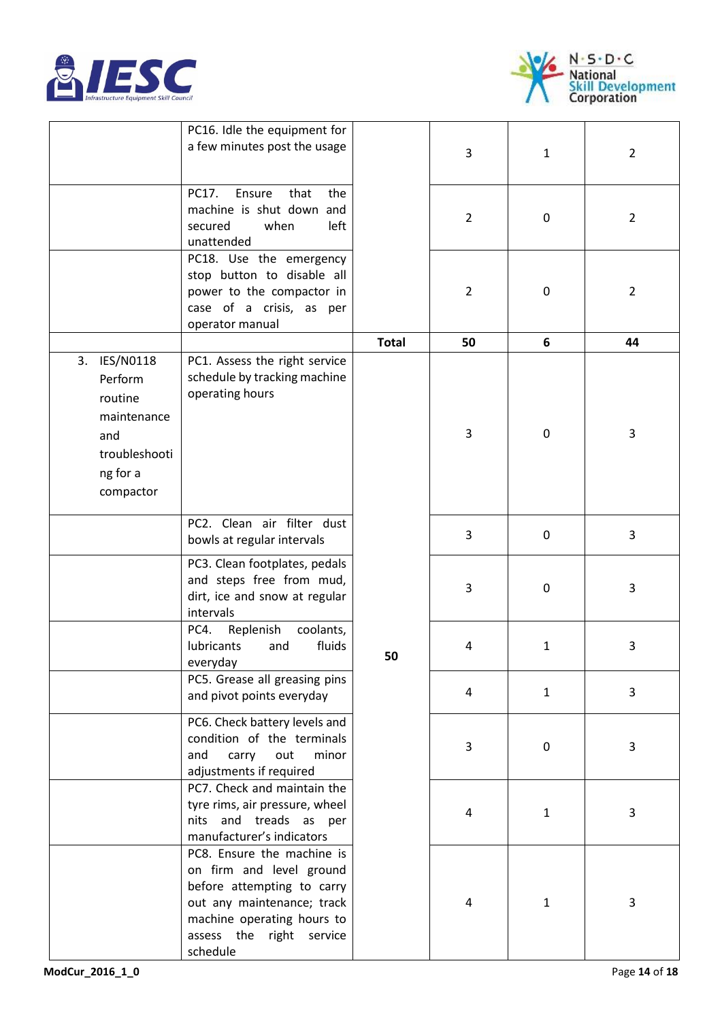



|                                                                                                    | PC16. Idle the equipment for<br>a few minutes post the usage                                                                                                                             |              | 3              | $\mathbf{1}$ | $\overline{2}$ |
|----------------------------------------------------------------------------------------------------|------------------------------------------------------------------------------------------------------------------------------------------------------------------------------------------|--------------|----------------|--------------|----------------|
|                                                                                                    | PC17.<br>Ensure<br>that<br>the<br>machine is shut down and<br>secured<br>left<br>when<br>unattended                                                                                      |              | $\overline{2}$ | 0            | $\overline{2}$ |
|                                                                                                    | PC18. Use the emergency<br>stop button to disable all<br>power to the compactor in<br>case of a crisis, as per<br>operator manual                                                        |              | $\overline{2}$ | 0            | $\overline{2}$ |
|                                                                                                    |                                                                                                                                                                                          | <b>Total</b> | 50             | 6            | 44             |
| 3. IES/N0118<br>Perform<br>routine<br>maintenance<br>and<br>troubleshooti<br>ng for a<br>compactor | PC1. Assess the right service<br>schedule by tracking machine<br>operating hours                                                                                                         |              | 3              | 0            | 3              |
|                                                                                                    | PC2. Clean air filter dust<br>bowls at regular intervals                                                                                                                                 |              | 3              | 0            | 3              |
|                                                                                                    | PC3. Clean footplates, pedals<br>and steps free from mud,<br>dirt, ice and snow at regular<br>intervals                                                                                  |              | 3              | 0            | 3              |
|                                                                                                    | PC4.<br>Replenish<br>coolants,<br>fluids<br>lubricants<br>and<br>everyday                                                                                                                | 50           | 4              | $\mathbf{1}$ | 3              |
|                                                                                                    | PC5. Grease all greasing pins<br>and pivot points everyday                                                                                                                               |              | 4              | $\mathbf{1}$ | 3              |
|                                                                                                    | PC6. Check battery levels and<br>condition of the terminals<br>and<br>carry<br>out<br>minor<br>adjustments if required                                                                   |              | 3              | 0            | 3              |
|                                                                                                    | PC7. Check and maintain the<br>tyre rims, air pressure, wheel<br>nits and treads as per<br>manufacturer's indicators                                                                     |              | 4              | $\mathbf{1}$ | 3              |
|                                                                                                    | PC8. Ensure the machine is<br>on firm and level ground<br>before attempting to carry<br>out any maintenance; track<br>machine operating hours to<br>assess the right service<br>schedule |              | 4              | $\mathbf{1}$ | 3              |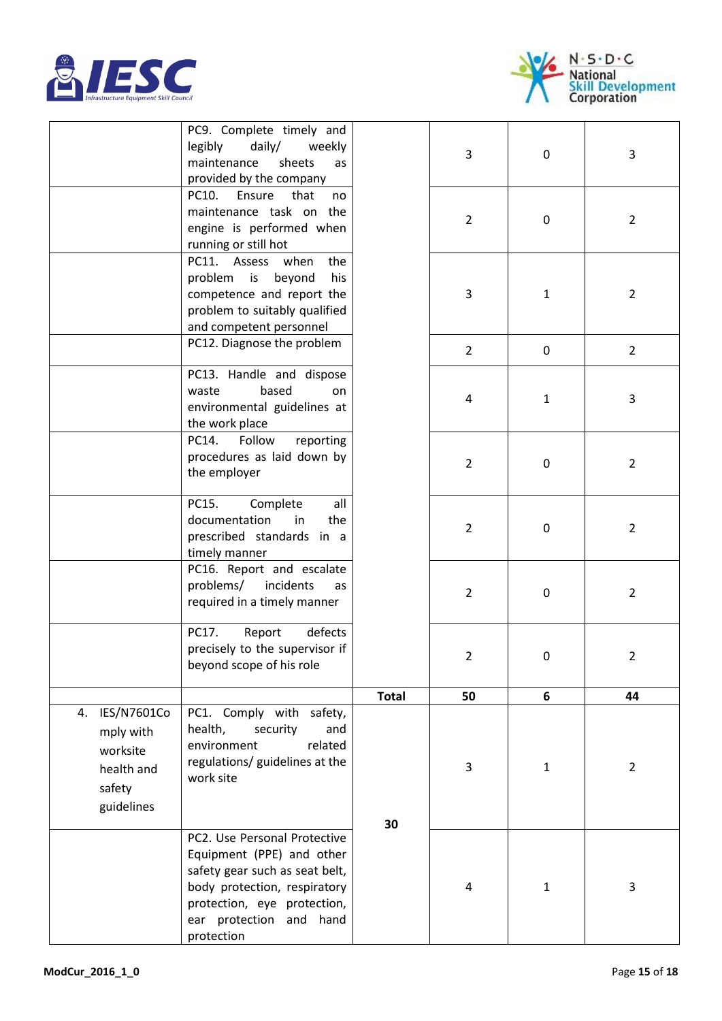



|                                                                               | PC9. Complete timely and<br>legibly<br>$d$ aily/<br>weekly<br>maintenance<br>sheets<br>as<br>provided by the company                                                                                |              | 3              | $\mathbf 0$  | 3              |
|-------------------------------------------------------------------------------|-----------------------------------------------------------------------------------------------------------------------------------------------------------------------------------------------------|--------------|----------------|--------------|----------------|
|                                                                               | PC10.<br>Ensure<br>that<br>no<br>maintenance task on the<br>engine is performed when<br>running or still hot                                                                                        |              | $\overline{2}$ | $\mathbf 0$  | $\overline{2}$ |
|                                                                               | PC11. Assess<br>when<br>the<br>problem is<br>beyond<br>his<br>competence and report the<br>problem to suitably qualified<br>and competent personnel                                                 |              | 3              | $\mathbf{1}$ | $\overline{2}$ |
|                                                                               | PC12. Diagnose the problem                                                                                                                                                                          |              | $\overline{2}$ | $\mathbf 0$  | $\overline{2}$ |
|                                                                               | PC13. Handle and dispose<br>based<br>waste<br>on<br>environmental guidelines at<br>the work place                                                                                                   |              | 4              | $\mathbf{1}$ | 3              |
|                                                                               | PC14.<br>Follow<br>reporting<br>procedures as laid down by<br>the employer                                                                                                                          |              | $\overline{2}$ | 0            | $\overline{2}$ |
|                                                                               | PC15.<br>all<br>Complete<br>documentation<br>in<br>the<br>prescribed standards in a<br>timely manner                                                                                                |              | $\overline{2}$ | 0            | $\overline{2}$ |
|                                                                               | PC16. Report and escalate<br>problems/<br>incidents<br>as<br>required in a timely manner                                                                                                            |              | $\overline{2}$ | 0            | $\overline{2}$ |
|                                                                               | Report<br>PC17.<br>defects<br>precisely to the supervisor if<br>beyond scope of his role                                                                                                            |              | $\overline{2}$ | $\mathbf 0$  | $\overline{2}$ |
|                                                                               |                                                                                                                                                                                                     | <b>Total</b> | 50             | 6            | 44             |
| 4. IES/N7601Co<br>mply with<br>worksite<br>health and<br>safety<br>guidelines | PC1. Comply with safety,<br>health,<br>security<br>and<br>related<br>environment<br>regulations/ guidelines at the<br>work site                                                                     | 30           | 3              | $\mathbf{1}$ | $\overline{2}$ |
|                                                                               | PC2. Use Personal Protective<br>Equipment (PPE) and other<br>safety gear such as seat belt,<br>body protection, respiratory<br>protection, eye protection,<br>ear protection and hand<br>protection |              | 4              | $\mathbf{1}$ | 3              |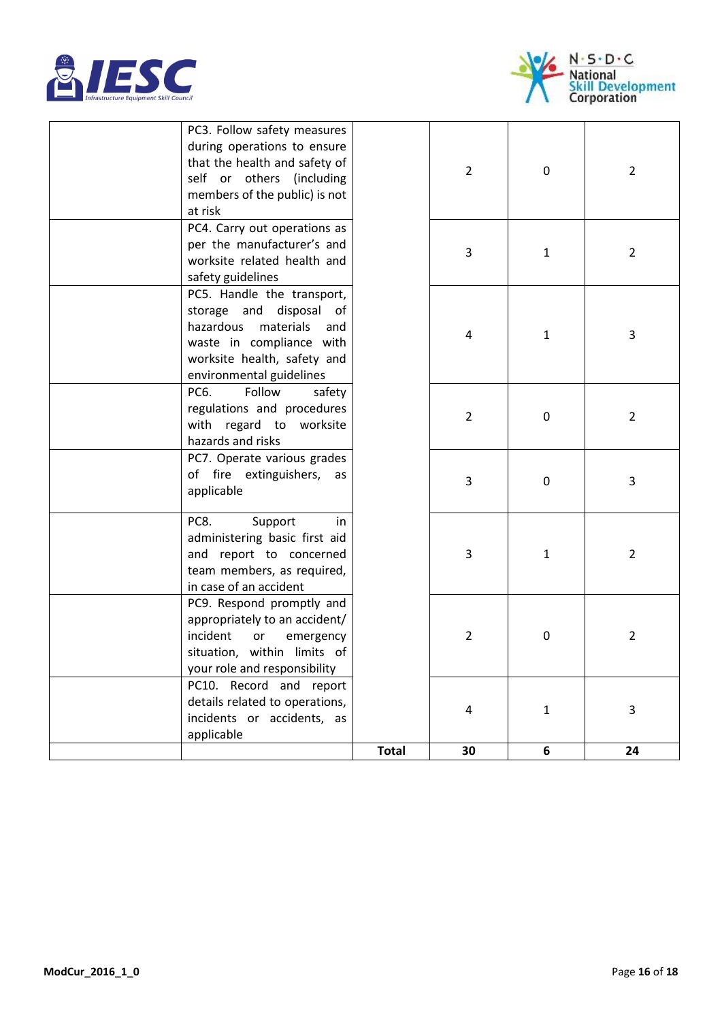



| PC3. Follow safety measures<br>during operations to ensure<br>that the health and safety of<br>self or others (including<br>members of the public) is not<br>at risk          |              | $\overline{2}$ | 0            | $\overline{2}$ |
|-------------------------------------------------------------------------------------------------------------------------------------------------------------------------------|--------------|----------------|--------------|----------------|
| PC4. Carry out operations as<br>per the manufacturer's and<br>worksite related health and<br>safety guidelines                                                                |              | 3              | $\mathbf{1}$ | $\overline{2}$ |
| PC5. Handle the transport,<br>storage and disposal of<br>hazardous<br>materials<br>and<br>waste in compliance with<br>worksite health, safety and<br>environmental guidelines |              | 4              | $\mathbf{1}$ | 3              |
| PC6.<br>Follow<br>safety<br>regulations and procedures<br>with regard to worksite<br>hazards and risks                                                                        |              | $\overline{2}$ | 0            | $\overline{2}$ |
| PC7. Operate various grades<br>of fire extinguishers, as<br>applicable                                                                                                        |              | 3              | 0            | 3              |
| PC8.<br>Support<br>in<br>administering basic first aid<br>and report to concerned<br>team members, as required,<br>in case of an accident                                     |              | 3              | $\mathbf{1}$ | $\overline{2}$ |
| PC9. Respond promptly and<br>appropriately to an accident/<br>incident<br>or<br>emergency<br>situation, within limits of<br>your role and responsibility                      |              | $\overline{2}$ | 0            | $\overline{2}$ |
| PC10. Record and report<br>details related to operations,<br>incidents or accidents, as<br>applicable                                                                         |              | $\overline{4}$ | $\mathbf{1}$ | 3              |
|                                                                                                                                                                               | <b>Total</b> | 30             | 6            | 24             |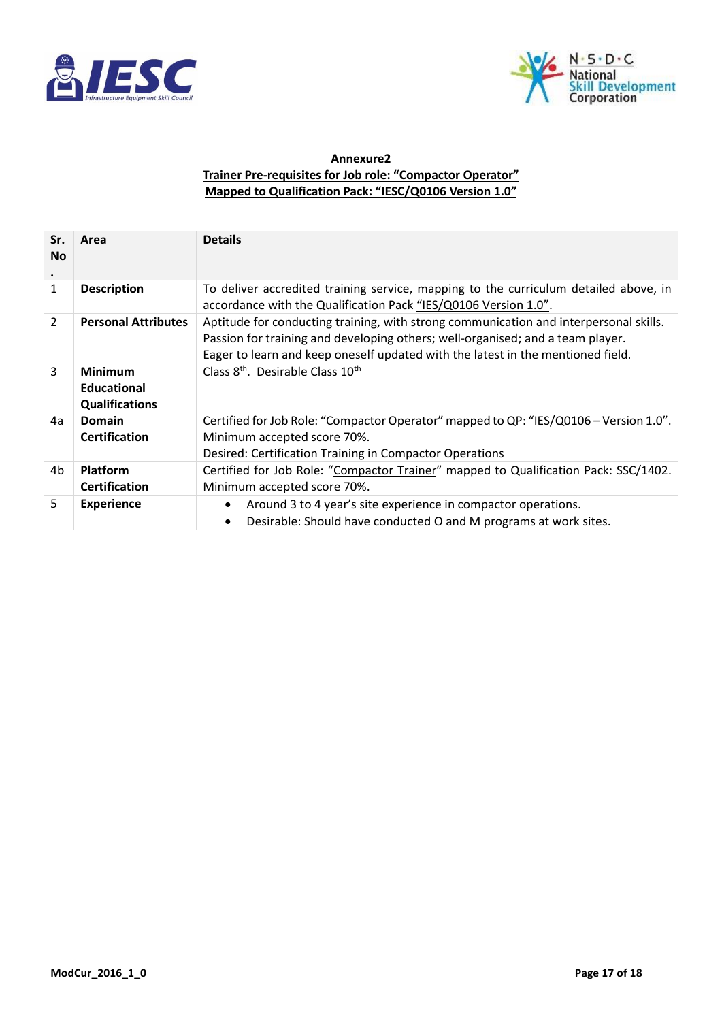



## **Annexure2 Trainer Pre-requisites for Job role: "Compactor Operator" Mapped to Qualification Pack: "IESC/Q0106 Version 1.0"**

| Sr.<br><b>No</b><br>$\bullet$ | Area                                                          | <b>Details</b>                                                                                                                                                                                                                                             |
|-------------------------------|---------------------------------------------------------------|------------------------------------------------------------------------------------------------------------------------------------------------------------------------------------------------------------------------------------------------------------|
| 1                             | <b>Description</b>                                            | To deliver accredited training service, mapping to the curriculum detailed above, in<br>accordance with the Qualification Pack "IES/Q0106 Version 1.0".                                                                                                    |
| $\overline{2}$                | <b>Personal Attributes</b>                                    | Aptitude for conducting training, with strong communication and interpersonal skills.<br>Passion for training and developing others; well-organised; and a team player.<br>Eager to learn and keep oneself updated with the latest in the mentioned field. |
| 3                             | <b>Minimum</b><br><b>Educational</b><br><b>Qualifications</b> | Class 8 <sup>th</sup> . Desirable Class 10 <sup>th</sup>                                                                                                                                                                                                   |
| 4a                            | Domain<br><b>Certification</b>                                | Certified for Job Role: "Compactor Operator" mapped to QP: "IES/Q0106 - Version 1.0".<br>Minimum accepted score 70%.<br>Desired: Certification Training in Compactor Operations                                                                            |
| 4b                            | Platform<br><b>Certification</b>                              | Certified for Job Role: "Compactor Trainer" mapped to Qualification Pack: SSC/1402.<br>Minimum accepted score 70%.                                                                                                                                         |
| 5                             | <b>Experience</b>                                             | Around 3 to 4 year's site experience in compactor operations.<br>$\bullet$<br>Desirable: Should have conducted O and M programs at work sites.<br>$\bullet$                                                                                                |